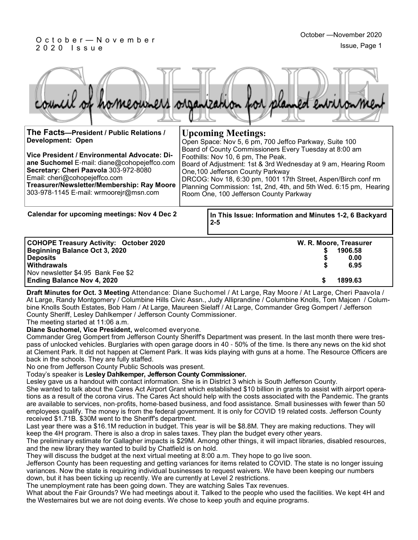### O c t o b e r — N o v e m b e r 2 0 2 0 I s s u e

|                                          | of homeowners organization for planned entromment      |
|------------------------------------------|--------------------------------------------------------|
| The Facts-President / Public Relations / | <b>Upcoming Meetings:</b>                              |
| Development: Open                        | Open Space: Nov 5, 6 pm, 700 Jeffco Parkway, Suite 100 |

Foothills: Nov 10, 6 pm, The Peak.

One,100 Jefferson County Parkway

Room One, 100 Jefferson County Parkway

**Vice President / Environmental Advocate: Diane Suchomel** E-mail: diane@cohopejeffco.com **Secretary: Cheri Paavola** 303-972-8080 Email: cheri@cohopejeffco.com **Treasurer/Newsletter/Membership: Ray Moore**  303-978-1145 E-mail: wrmoorejr@msn.com

**Calendar for upcoming meetings: Nov 4 Dec 2**

**In This Issue: Information and Minutes 1-2, 6 Backyard 2-5**

Board of County Commissioners Every Tuesday at 8:00 am

Board of Adjustment: 1st & 3rd Wednesday at 9 am, Hearing Room

DRCOG: Nov 18, 6:30 pm, 1001 17th Street, Aspen/Birch conf rm Planning Commission: 1st, 2nd, 4th, and 5th Wed. 6:15 pm, Hearing

| <b>COHOPE Treasury Activity: October 2020</b> | W. R. Moore, Treasurer |
|-----------------------------------------------|------------------------|
| Beginning Balance Oct 3, 2020                 | 1906.58                |
| <b>Deposits</b>                               | 0.00                   |
| <b>Withdrawals</b>                            | 6.95                   |
| Nov newsletter \$4.95 Bank Fee \$2            |                        |
| <b>Ending Balance Nov 4, 2020</b>             | 1899.63                |

**Draft Minutes for Oct. 3 Meeting** Attendance: Diane Suchomel / At Large, Ray Moore / At Large, Cheri Paavola / At Large, Randy Montgomery / Columbine Hills Civic Assn., Judy Alliprandine / Columbine Knolls, Tom Majcen / Columbine Knolls South Estates, Bob Ham / At Large, Maureen Sielaff / At Large, Commander Greg Gompert / Jefferson County Sheriff, Lesley Dahlkemper / Jefferson County Commissioner.

The meeting started at 11:06 a.m.

**Diane Suchomel, Vice President,** welcomed everyone.

Commander Greg Gompert from Jefferson County Sheriff's Department was present. In the last month there were trespass of unlocked vehicles. Burglaries with open garage doors in 40 - 50% of the time. Is there any news on the kid shot at Clement Park. It did not happen at Clement Park. It was kids playing with guns at a home. The Resource Officers are back in the schools. They are fully staffed.

No one from Jefferson County Public Schools was present.

Today's speaker is **Lesley Dahlkemper, Jefferson County Commissioner.**

Lesley gave us a handout with contact information. She is in District 3 which is South Jefferson County.

She wanted to talk about the Cares Act Airport Grant which established \$10 billion in grants to assist with airport operations as a result of the corona virus. The Cares Act should help with the costs associated with the Pandemic. The grants are available to services, non-profits, home-based business, and food assistance. Small businesses with fewer than 50 employees qualify. The money is from the federal government. It is only for COVID 19 related costs. Jefferson County received \$1.71B. \$30M went to the Sheriff's department.

Last year there was a \$16.1M reduction in budget. This year is will be \$8.8M. They are making reductions. They will keep the 4H program. There is also a drop in sales taxes. They plan the budget every other years.

The preliminary estimate for Gallagher impacts is \$29M. Among other things, it will impact libraries, disabled resources, and the new library they wanted to build by Chatfield is on hold.

They will discuss the budget at the next virtual meeting at 8:00 a.m. They hope to go live soon.

Jefferson County has been requesting and getting variances for items related to COVID. The state is no longer issuing variances. Now the state is requiring individual businesses to request waivers. We have been keeping our numbers down, but it has been ticking up recently. We are currently at Level 2 restrictions.

The unemployment rate has been going down. They are watching Sales Tax revenues.

What about the Fair Grounds? We had meetings about it. Talked to the people who used the facilities. We kept 4H and the Westernaires but we are not doing events. We chose to keep youth and equine programs.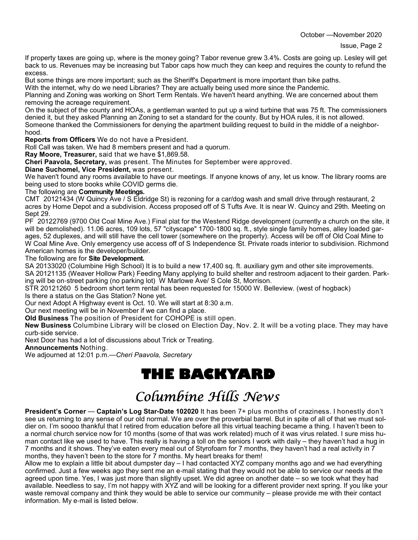If property taxes are going up, where is the money going? Tabor revenue grew 3.4%. Costs are going up. Lesley will get back to us. Revenues may be increasing but Tabor caps how much they can keep and requires the county to refund the excess.

But some things are more important; such as the Sheriff's Department is more important than bike paths.

With the internet, why do we need Libraries? They are actually being used more since the Pandemic.

Planning and Zoning was working on Short Term Rentals. We haven't heard anything. We are concerned about them removing the acreage requirement.

On the subject of the county and HOAs, a gentleman wanted to put up a wind turbine that was 75 ft. The commissioners denied it, but they asked Planning an Zoning to set a standard for the county. But by HOA rules, it is not allowed. Someone thanked the Commissioners for denying the apartment building request to build in the middle of a neighborhood.

**Reports from Officers** We do not have a President.

Roll Call was taken. We had 8 members present and had a quorum.

**Ray Moore, Treasurer,** said that we have \$1,869.58.

**Cheri Paavola, Secretary,** was present. The Minutes for September were approved.

**Diane Suchomel, Vice President,** was present.

We haven't found any rooms available to have our meetings. If anyone knows of any, let us know. The library rooms are being used to store books while COVID germs die.

#### The following are **Community Meetings.**

CMT 20121434 (W Quincy Ave / S Eldridge St) is rezoning for a car/dog wash and small drive through restaurant, 2 acres by Home Depot and a subdivision. Access proposed off of S Tufts Ave. It is near W. Quincy and 29th. Meeting on Sept 29.

PF 20122769 (9700 Old Coal Mine Ave.) Final plat for the Westend Ridge development (currently a church on the site, it will be demolished). 11.06 acres, 109 lots, 57 "cityscape" 1700-1800 sq. ft., style single family homes, alley loaded garages, 52 duplexes, and will still have the cell tower (somewhere on the property). Access will be off of Old Coal Mine to W Coal Mine Ave. Only emergency use access off of S Independence St. Private roads interior to subdivision. Richmond American homes is the developer/builder.

#### The following are for **Site Development.**

SA 20133020 (Columbine High School) It is to build a new 17,400 sq. ft. auxiliary gym and other site improvements.

SA 20121135 (Weaver Hollow Park) Feeding Many applying to build shelter and restroom adjacent to their garden. Parking will be on-street parking (no parking lot) W Marlowe Ave/ S Cole St, Morrison.

STR 20121260 5 bedroom short term rental has been requested for 15000 W. Belleview. (west of hogback)

Is there a status on the Gas Station? None yet.

Our next Adopt A Highway event is Oct. 10. We will start at 8:30 a.m.

Our next meeting will be in November if we can find a place.

**Old Business** The position of President for COHOPE is still open.

**New Business** Columbine Library will be closed on Election Day, Nov. 2. It will be a voting place. They may have curb-side service.

Next Door has had a lot of discussions about Trick or Treating.

**Announcements** Nothing.

We adjourned at 12:01 p.m.—*Cheri Paavola, Secretary*

# **THE BACKYARD**

# Columbine Hills News

**President's Corner** — **Captain's Log Star-Date 102020** It has been 7+ plus months of craziness. I honestly don't see us returning to any sense of our old normal. We are over the proverbial barrel. But in spite of all of that we must soldier on. I'm soooo thankful that I retired from education before all this virtual teaching became a thing. I haven't been to a normal church service now for 10 months (some of that was work related) much of it was virus related. I sure miss human contact like we used to have. This really is having a toll on the seniors I work with daily – they haven't had a hug in 7 months and it shows. They've eaten every meal out of Styrofoam for 7 months, they haven't had a real activity in 7 months, they haven't been to the store for 7 months. My heart breaks for them!

Allow me to explain a little bit about dumpster day – I had contacted XYZ company months ago and we had everything confirmed. Just a few weeks ago they sent me an e-mail stating that they would not be able to service our needs at the agreed upon time. Yes, I was just more than slightly upset. We did agree on another date – so we took what they had available. Needless to say, I'm not happy with XYZ and will be looking for a different provider next spring. If you like your waste removal company and think they would be able to service our community – please provide me with their contact information. My e-mail is listed below.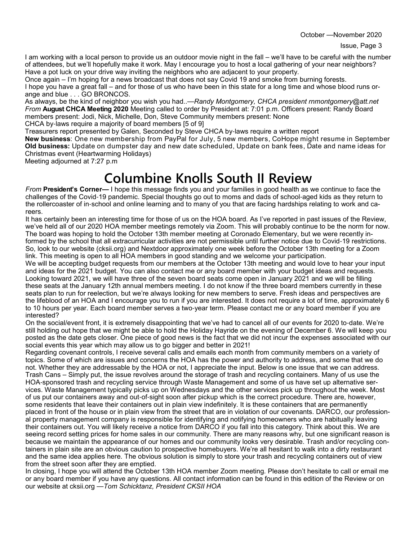October —November 2020

I am working with a local person to provide us an outdoor movie night in the fall – we'll have to be careful with the number of attendees, but we'll hopefully make it work. May I encourage you to host a local gathering of your near neighbors? Have a pot luck on your drive way inviting the neighbors who are adjacent to your property.

Once again – I'm hoping for a news broadcast that does not say Covid 19 and smoke from burning forests. I hope you have a great fall – and for those of us who have been in this state for a long time and whose blood runs orange and blue . . . GO BRONCOS.

As always, be the kind of neighbor you wish you had..—*Randy Montgomery, CHCA president rnmontgomery@att.net From* **August CHCA Meeting 2020** Meeting called to order by President at: 7:01 p.m. Officers present: Randy Board members present: Jodi, Nick, Michelle, Don, Steve Community members present: None

CHCA by-laws require a majority of board members [5 of 9]

Treasurers report presented by Galen, Seconded by Steve CHCA by-laws require a written report

**New business**: One new membership from PayPal for July, 5 new members, CoHope might resume in September **Old business:** Update on dumpster day and new date scheduled, Update on bank fees, Date and name ideas for Christmas event (Heartwarming Holidays)

Meeting adjourned at 7:27 p.m

## **Columbine Knolls South II Review**

*From* **President's Corner—** I hope this message finds you and your families in good health as we continue to face the challenges of the Covid-19 pandemic. Special thoughts go out to moms and dads of school-aged kids as they return to the rollercoaster of in-school and online learning and to many of you that are facing hardships relating to work and careers.

It has certainly been an interesting time for those of us on the HOA board. As I've reported in past issues of the Review, we've held all of our 2020 HOA member meetings remotely via Zoom. This will probably continue to be the norm for now. The board was hoping to hold the October 13th member meeting at Coronado Elementary, but we were recently informed by the school that all extracurricular activities are not permissible until further notice due to Covid-19 restrictions. So, look to our website (cksii.org) and Nextdoor approximately one week before the October 13th meeting for a Zoom link. This meeting is open to all HOA members in good standing and we welcome your participation.

We will be accepting budget requests from our members at the October 13th meeting and would love to hear your input and ideas for the 2021 budget. You can also contact me or any board member with your budget ideas and requests. Looking toward 2021, we will have three of the seven board seats come open in January 2021 and we will be filling these seats at the January 12th annual members meeting. I do not know if the three board members currently in these seats plan to run for reelection, but we're always looking for new members to serve. Fresh ideas and perspectives are the lifeblood of an HOA and I encourage you to run if you are interested. It does not require a lot of time, approximately 6 to 10 hours per year. Each board member serves a two-year term. Please contact me or any board member if you are interested?

On the social/event front, it is extremely disappointing that we've had to cancel all of our events for 2020 to-date. We're still holding out hope that we might be able to hold the Holiday Hayride on the evening of December 6. We will keep you posted as the date gets closer. One piece of good news is the fact that we did not incur the expenses associated with our social events this year which may allow us to go bigger and better in 2021!

Regarding covenant controls, I receive several calls and emails each month from community members on a variety of topics. Some of which are issues and concerns the HOA has the power and authority to address, and some that we do not. Whether they are addressable by the HOA or not, I appreciate the input. Below is one issue that we can address. Trash Cans – Simply put, the issue revolves around the storage of trash and recycling containers. Many of us use the HOA-sponsored trash and recycling service through Waste Management and some of us have set up alternative services. Waste Management typically picks up on Wednesdays and the other services pick up throughout the week. Most of us put our containers away and out-of-sight soon after pickup which is the correct procedure. There are, however, some residents that leave their containers out in plain view indefinitely. It is these containers that are permanently placed in front of the house or in plain view from the street that are in violation of our covenants. DARCO, our professional property management company is responsible for identifying and notifying homeowners who are habitually leaving their containers out. You will likely receive a notice from DARCO if you fall into this category. Think about this. We are seeing record setting prices for home sales in our community. There are many reasons why, but one significant reason is because we maintain the appearance of our homes and our community looks very desirable. Trash and/or recycling containers in plain site are an obvious caution to prospective homebuyers. We're all hesitant to walk into a dirty restaurant and the same idea applies here. The obvious solution is simply to store your trash and recycling containers out of view from the street soon after they are emptied.

In closing, I hope you will attend the October 13th HOA member Zoom meeting. Please don't hesitate to call or email me or any board member if you have any questions. All contact information can be found in this edition of the Review or on our website at cksii.org —*Tom Schicktanz, President CKSII HOA*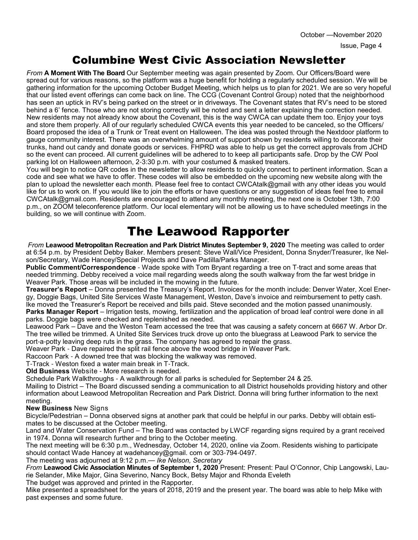### Columbine West Civic Association Newsletter

*From* **A Moment With The Board** Our September meeting was again presented by Zoom. Our Officers/Board were spread out for various reasons, so the platform was a huge benefit for holding a regularly scheduled session. We will be gathering information for the upcoming October Budget Meeting, which helps us to plan for 2021. We are so very hopeful that our listed event offerings can come back on line. The CCG (Covenant Control Group) noted that the neighborhood has seen an uptick in RV's being parked on the street or in driveways. The Covenant states that RV's need to be stored behind a 6' fence. Those who are not storing correctly will be noted and sent a letter explaining the correction needed. New residents may not already know about the Covenant, this is the way CWCA can update them too. Enjoy your toys and store them properly. All of our regularly scheduled CWCA events this year needed to be canceled, so the Officers/ Board proposed the idea of a Trunk or Treat event on Halloween. The idea was posted through the Nextdoor platform to gauge community interest. There was an overwhelming amount of support shown by residents willing to decorate their trunks, hand out candy and donate goods or services. FHPRD was able to help us get the correct approvals from JCHD so the event can proceed. All current guidelines will be adhered to to keep all participants safe. Drop by the CW Pool parking lot on Halloween afternoon, 2-3:30 p.m. with your costumed & masked treaters.

You will begin to notice QR codes in the newsletter to allow residents to quickly connect to pertinent information. Scan a code and see what we have to offer. These codes will also be embedded on the upcoming new website along with the plan to upload the newsletter each month. Please feel free to contact CWCAtalk@gmail with any other ideas you would like for us to work on. If you would like to join the efforts or have questions or any suggestion of ideas feel free to email CWCAtalk@gmail.com. Residents are encouraged to attend any monthly meeting, the next one is October 13th, 7:00 p.m., on ZOOM teleconference platform. Our local elementary will not be allowing us to have scheduled meetings in the building, so we will continue with Zoom.

## The Leawood Rapporter

*From* **Leawood Metropolitan Recreation and Park District Minutes September 9, 2020** The meeting was called to order at 6:54 p.m. by President Debby Baker. Members present: Steve Wall/Vice President, Donna Snyder/Treasurer, Ike Nelson/Secretary, Wade Hancey/Special Projects and Dave Padilla/Parks Manager.

**Public Comment/Correspondence** - Wade spoke with Tom Bryant regarding a tree on T-tract and some areas that needed trimming. Debby received a voice mail regarding weeds along the south walkway from the far west bridge in Weaver Park. Those areas will be included in the mowing in the future.

**Treasurer's Report** – Donna presented the Treasury's Report. Invoices for the month include: Denver Water, Xcel Energy, Doggie Bags, United Site Services Waste Management, Weston, Dave's invoice and reimbursement to petty cash. Ike moved the Treasurer's Report be received and bills paid. Steve seconded and the motion passed unanimously.

**Parks Manager Report** – Irrigation tests, mowing, fertilization and the application of broad leaf control were done in all parks. Doggie bags were checked and replenished as needed.

Leawood Park – Dave and the Weston Team accessed the tree that was causing a safety concern at 6667 W. Arbor Dr. The tree willed be trimmed. A United Site Services truck drove up onto the bluegrass at Leawood Park to service the port-a-potty leaving deep ruts in the grass. The company has agreed to repair the grass.

Weaver Park - Dave repaired the split rail fence above the wood bridge in Weaver Park.

Raccoon Park - A downed tree that was blocking the walkway was removed.

T-Track - Weston fixed a water main break in T-Track.

**Old Business** Website - More research is needed.

Schedule Park Walkthroughs - A walkthrough for all parks is scheduled for September 24 & 25.

Mailing to District – The Board discussed sending a communication to all District households providing history and other information about Leawood Metropolitan Recreation and Park District. Donna will bring further information to the next meeting.

### **New Business** New Signs

Bicycle/Pedestrian – Donna observed signs at another park that could be helpful in our parks. Debby will obtain estimates to be discussed at the October meeting.

Land and Water Conservation Fund – The Board was contacted by LWCF regarding signs required by a grant received in 1974. Donna will research further and bring to the October meeting.

The next meeting will be 6:30 p.m., Wednesday, October 14, 2020, online via Zoom. Residents wishing to participate should contact Wade Hancey at wadehancey@gmail. com or 303-794-0497.

The meeting was adjourned at 9:12 p.m.— *Ike Nelson, Secretary*

*From* **Leawood Civic Association Minutes of September 1, 2020** Present: Present: Paul O'Connor, Chip Langowski, Laurie Selander, Mike Major, Gina Severino, Nancy Bock, Betsy Major and Rhonda Eveleth

The budget was approved and printed in the Rapporter.

Mike presented a spreadsheet for the years of 2018, 2019 and the present year. The board was able to help Mike with past expenses and some future.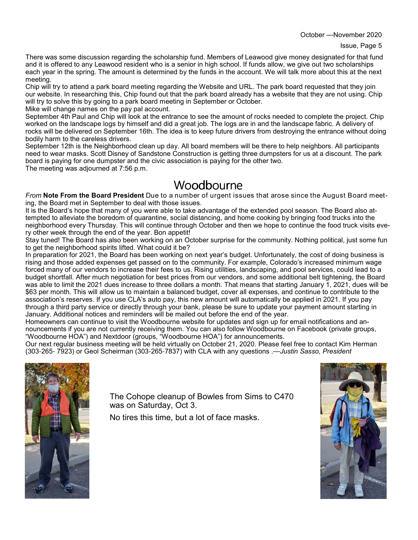There was some discussion regarding the scholarship fund. Members of Leawood give money designated for that fund and it is offered to any Leawood resident who is a senior in high school. If funds allow, we give out two scholarships each year in the spring. The amount is determined by the funds in the account. We will talk more about this at the next meeting.

Chip will try to attend a park board meeting regarding the Website and URL. The park board requested that they join our website. In researching this, Chip found out that the park board already has a website that they are not using. Chip will try to solve this by going to a park board meeting in September or October.

Mike will change names on the pay pal account.

September 4th Paul and Chip will look at the entrance to see the amount of rocks needed to complete the project. Chip worked on the landscape logs by himself and did a great job. The logs are in and the landscape fabric. A delivery of rocks will be delivered on September 16th. The idea is to keep future drivers from destroying the entrance without doing bodily harm to the careless drivers.

September 12th is the Neighborhood clean up day. All board members will be there to help neighbors. All participants need to wear masks. Scott Disney of Sandstone Construction is getting three dumpsters for us at a discount. The park board is paying for one dumpster and the civic association is paying for the other two. The meeting was adjourned at 7:56 p.m.

### Woodbourne

*From* **Note From the Board President** Due to a number of urgent issues that arose since the August Board meeting, the Board met in September to deal with those issues.

It is the Board's hope that many of you were able to take advantage of the extended pool season. The Board also attempted to alleviate the boredom of quarantine, social distancing, and home cooking by bringing food trucks into the neighborhood every Thursday. This will continue through October and then we hope to continue the food truck visits every other week through the end of the year. Bon appetit!

Stay tuned! The Board has also been working on an October surprise for the community. Nothing political, just some fun to get the neighborhood spirits lifted. What could it be?

In preparation for 2021, the Board has been working on next year's budget. Unfortunately, the cost of doing business is rising and those added expenses get passed on to the community. For example, Colorado's increased minimum wage forced many of our vendors to increase their fees to us. Rising utilities, landscaping, and pool services, could lead to a budget shortfall. After much negotiation for best prices from our vendors, and some additional belt tightening, the Board was able to limit the 2021 dues increase to three dollars a month. That means that starting January 1, 2021, dues will be \$63 per month. This will allow us to maintain a balanced budget, cover all expenses, and continue to contribute to the association's reserves. If you use CLA's auto pay, this new amount will automatically be applied in 2021. If you pay through a third party service or directly through your bank, please be sure to update your payment amount starting in January. Additional notices and reminders will be mailed out before the end of the year.

Homeowners can continue to visit the Woodbourne website for updates and sign up for email notifications and announcements if you are not currently receiving them. You can also follow Woodbourne on Facebook (private groups, "Woodbourne HOA") and Nextdoor (groups, "Woodbourne HOA") for announcements.

Our next regular business meeting will be held virtually on October 21, 2020. Please feel free to contact Kim Herman (303-265- 7923) or Geol Scheirman (303-265-7837) with CLA with any questions .—*Justin Sasso, President*



The Cohope cleanup of Bowles from Sims to C470 was on Saturday, Oct 3.

No tires this time, but a lot of face masks.